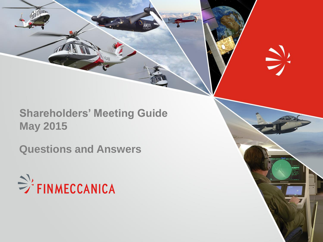# **Shareholders' Meeting Guide May 2015**

 $\sum_{i=1}^{n}$ 

**Questions and Answers**

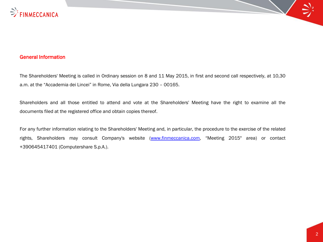

### General Information

The Shareholders' Meeting is called in Ordinary session on 8 and 11 May 2015, in first and second call respectively, at 10,30 a.m. at the "Accademia dei Lincei" in Rome, Via della Lungara 230 – 00165.

Shareholders and all those entitled to attend and vote at the Shareholders' Meeting have the right to examine all the documents filed at the registered office and obtain copies thereof.

For any further information relating to the Shareholders' Meeting and, in particular, the procedure to the exercise of the related rights, Shareholders may consult Company's website [\(www.finmeccanica.com](http://www.finmeccanica.com/), "Meeting 2015" area) or contact +390645417401 (Computershare S.p.A.).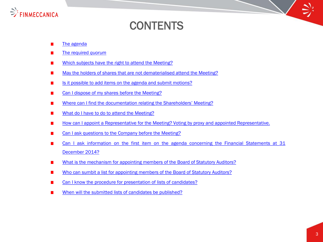

# **CONTENTS**

- [The](#page-4-0) [agenda](#page-4-0)
- [The](#page-4-0) [required](#page-4-0) *[quorum](#page-4-0)*
- [Which](#page-5-0) [subjects](#page-5-0) [have](#page-5-0) [the](#page-5-0) [right](#page-5-0) [to](#page-5-0) [attend](#page-5-0) [the](#page-5-0) [Meeting?](#page-5-0)
- [May](#page-5-0) [the](#page-5-0) [holders](#page-5-0) [of](#page-5-0) [shares](#page-5-0) [that](#page-5-0) [are](#page-5-0) [not](#page-5-0) [dematerialised](#page-5-0) [attend](#page-5-0) [the](#page-5-0) [Meeting?](#page-5-0)
- [Is](#page-6-0) [it](#page-6-0) [possible](#page-6-0) [to](#page-6-0) [add](#page-6-0) [items](#page-6-0) [on](#page-6-0) [the](#page-6-0) [agenda](#page-6-0) [and](#page-6-0) [submit](#page-6-0) [motions?](#page-6-0)
- [Can](#page-7-0) [I](#page-7-0) [dispose](#page-7-0) [of](#page-7-0) [my](#page-7-0) [shares](#page-7-0) [before](#page-7-0) [the](#page-7-0) [Meeting?](#page-7-0)
- [Where](#page-7-0) [can](#page-7-0) [I](#page-7-0) [find](#page-7-0) [the](#page-7-0) [documentation](#page-7-0) [relating](#page-7-0) [the](#page-7-0) [Shareholders'](#page-7-0) [Meeting?](#page-7-0)
- [What](#page-8-0) [do](#page-8-0) [I](#page-8-0) [have](#page-8-0) [to](#page-8-0) [do](#page-8-0) [to](#page-8-0) [attend](#page-8-0) [the](#page-8-0) [Meeting?](#page-8-0)
- [How](#page-9-0) [can](#page-9-0) [I](#page-9-0) [appoint](#page-9-0) [a](#page-9-0) [Representative](#page-9-0) [for](#page-9-0) [the](#page-9-0) [Meeting?](#page-9-0) [Voting](#page-9-0) [by](#page-9-0) [proxy](#page-9-0) [and](#page-9-0) [appointed](#page-9-0) [Representative.](#page-9-0)
- [Can](#page-10-0) [I](#page-10-0) [ask](#page-10-0) [questions](#page-10-0) [to](#page-10-0) [the](#page-10-0) [Company](#page-10-0) [before](#page-10-0) [the](#page-10-0) [Meeting?](#page-10-0)
- [Can](#page-11-0) [I](#page-11-0) [ask](#page-11-0) [information](#page-11-0) [on](#page-11-0) [the](#page-11-0) [first](#page-11-0) [item](#page-11-0) [on](#page-11-0) [the](#page-11-0) [agenda](#page-11-0) [concerning](#page-11-0) [the](#page-11-0) [Financial](#page-11-0) [Statements](#page-11-0) [at](#page-11-0) [31](#page-11-0) [December](#page-11-0) [2014?](#page-11-0)
- [What](#page-12-0) [is](#page-12-0) [the](#page-12-0) [mechanism](#page-12-0) [for](#page-12-0) [appointing](#page-12-0) [members](#page-12-0) [of](#page-12-0) [the](#page-12-0) [Board](#page-12-0) [of](#page-12-0) [Statutory](#page-12-0) [Auditors?](#page-12-0)
- [Who](#page-13-0) [can](#page-13-0) [sumbit](#page-13-0) [a](#page-13-0) [list](#page-13-0) [for](#page-13-0) [appointing](#page-13-0) [members](#page-13-0) [of](#page-13-0) [the](#page-13-0) [Board](#page-13-0) [of](#page-13-0) [Statutory](#page-13-0) [Auditors?](#page-13-0)
- [Can](#page-14-0) [I](#page-14-0) [know](#page-14-0) [the](#page-14-0) [procedure](#page-14-0) [for](#page-14-0) [presentation](#page-14-0) [of](#page-14-0) [lists](#page-14-0) [of](#page-14-0) [candidates?](#page-14-0)
- <span id="page-2-0"></span>[When](#page-14-0) [will](#page-14-0) [the](#page-14-0) [submitted](#page-14-0) [lists](#page-14-0) [of](#page-14-0) [candidates](#page-14-0) [be](#page-14-0) [published?](#page-14-0)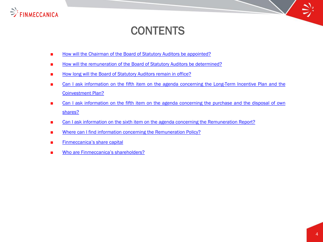

# **CONTENTS**

- [How](#page-15-0) [will](#page-15-0) [the](#page-15-0) [Chairman](#page-15-0) [of](#page-15-0) the [Board](#page-15-0) of [Statutory](#page-15-0) [Auditors](#page-15-0) [be](#page-15-0) [appointed?](#page-15-0)
- [How](#page-15-0) [will](#page-15-0) [the](#page-15-0) [remuneration](#page-15-0) [of](#page-15-0) the [Board](#page-15-0) of [Statutory](#page-15-0) [Auditors](#page-15-0) [be](#page-15-0) [determined?](#page-15-0)
- [How](#page-15-0) [long](#page-15-0) [will](#page-15-0) [the](#page-15-0) [Board](#page-15-0) [of](#page-15-0) [Statutory](#page-15-0) [Auditors](#page-15-0) [remain](#page-15-0) [in](#page-15-0) [office?](#page-15-0)
- [Can](#page-16-0) [I](#page-16-0) [ask](#page-16-0) [information](#page-16-0) [on](#page-16-0) [the](#page-16-0) [fifth](#page-16-0) [item](#page-16-0) on the [agenda](#page-16-0) [concerning](#page-16-0) the [Long-Term](#page-16-0) [Incentive](#page-16-0) [Plan](#page-16-0) [and](#page-16-0) the [Coinvestment](#page-16-0) [Plan?](#page-16-0)
- [Can](#page-17-0) [I](#page-17-0) [ask](#page-17-0) [information](#page-17-0) [on](#page-17-0) [the](#page-17-0) [fifth](#page-17-0) [item](#page-17-0) on the [agenda](#page-17-0) [concerning](#page-17-0) the [purchase](#page-17-0) [and](#page-17-0) the [disposal](#page-17-0) [of](#page-17-0) [own](#page-17-0) [shares?](#page-17-0)
- [Can](#page-18-0) [I](#page-18-0) [ask](#page-18-0) [information](#page-18-0) [on](#page-18-0) [the](#page-18-0) [sixth](#page-18-0) [item](#page-18-0) on the [agenda](#page-18-0) [concerning](#page-18-0) the [Remuneration](#page-18-0) [Report?](#page-18-0)
- [Where](#page-18-0) [can](#page-18-0) [I](#page-18-0) [find](#page-18-0) [information](#page-18-0) [concerning](#page-18-0) [the](#page-18-0) [Remuneration](#page-18-0) [Policy?](#page-18-0)
- [Finmeccanica's](#page-19-0) [share](#page-19-0) [capital](#page-19-0)
- <span id="page-3-0"></span>[Who](#page-19-0) [are](#page-19-0) [Finmeccanica's](#page-19-0) [shareholders?](#page-19-0)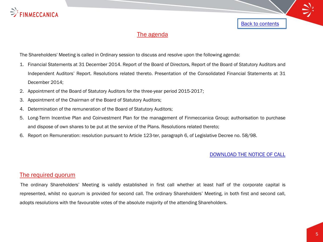

# The agenda

The Shareholders' Meeting is called in Ordinary session to discuss and resolve upon the following agenda:

- 1. Financial Statements at 31 December 2014. Report of the Board of Directors, Report of the Board of Statutory Auditors and Independent Auditors' Report. Resolutions related thereto. Presentation of the Consolidated Financial Statements at 31 December 2014;
- 2. Appointment of the Board of Statutory Auditors for the three-year period 2015-2017;
- 3. Appointment of the Chairman of the Board of Statutory Auditors;
- 4. Determination of the remuneration of the Board of Statutory Auditors;
- 5. Long-Term Incentive Plan and Coinvestment Plan for the management of Finmeccanica Group; authorisation to purchase and dispose of own shares to be put at the service of the Plans. Resolutions related thereto;
- 6. Report on Remuneration: resolution pursuant to Article 123-ter, paragraph 6, of Legislative Decree no. 58/98[.](http://www.finmeccanica.com/IT/Common/files/Corporate/Investor_Relations_Corporate_Governace/Avvisi_Legali/Avv_legali2013/Avviso_Convocazione_AssOrd2_15_aprile_2013.pdf)

### [DOWNLOAD THE NOTICE OF CALL](http://www.finmeccanica.com/documents/10437/41476884/body_Meeting_2015_Notice_of_call.pdf)

**[Back to contents](#page-2-0)** 

# The required quorum

<span id="page-4-0"></span>The ordinary Shareholders' Meeting is validly established in first call whether at least half of the corporate capital is represented, whilst no quorum is provided for second call. The ordinary Shareholders' Meeting, in both first and second call, adopts resolutions with the favourable votes of the absolute majority of the attending Shareholders.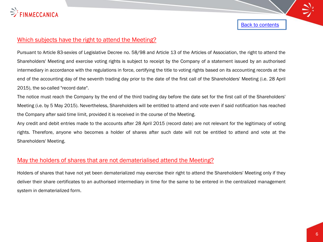

# Which subjects have the right to attend the Meeting?

Pursuant to Article 83-*sexies* of Legislative Decree no. 58/98 and Article 13 of the Articles of Association, the right to attend the Shareholders' Meeting and exercise voting rights is subject to receipt by the Company of a statement issued by an authorised intermediary in accordance with the regulations in force, certifying the title to voting rights based on its accounting records at the end of the accounting day of the seventh trading day prior to the date of the first call of the Shareholders' Meeting (i.e. 28 April 2015), the so-called "record date".

The notice must reach the Company by the end of the third trading day before the date set for the first call of the Shareholders' Meeting (i.e. by 5 May 2015). Nevertheless, Shareholders will be entitled to attend and vote even if said notification has reached the Company after said time limit, provided it is received in the course of the Meeting.

Any credit and debit entries made to the accounts after 28 April 2015 (record date) are not relevant for the legitimacy of voting rights. Therefore, anyone who becomes a holder of shares after such date will not be entitled to attend and vote at the Shareholders' Meeting.

### May the holders of shares that are not dematerialised attend the Meeting?

<span id="page-5-0"></span>Holders of shares that have not yet been dematerialized may exercise their right to attend the Shareholders' Meeting only if they deliver their share certificates to an authorised intermediary in time for the same to be entered in the centralized management system in dematerialized form.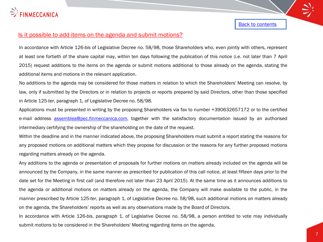

### Is it possible to add items on the agenda and submit motions?

In accordance with Article 126-*bis* of Legislative Decree no. 58/98, those Shareholders who, even jointly with others, represent at least one fortieth of the share capital may, within ten days following the publication of this notice (i.e. not later than 7 April 2015) request additions to the items on the agenda or submit motions additional to those already on the agenda, stating the additional items and motions in the relevant application.

No additions to the agenda may be considered for those matters in relation to which the Shareholders' Meeting can resolve, by law, only if submitted by the Directors or in relation to projects or reports prepared by said Directors, other than those specified in Article 125-*ter*, paragraph 1, of Legislative Decree no. 58/98.

Applications must be presented in writing by the proposing Shareholders via fax to number +390632657172 or to the certified e-mail address [assemblea@pec.finmeccanica.com,](mailto:assemblea@pec.finmeccanica.com) together with the satisfactory documentation issued by an authorised intermediary certifying the ownership of the shareholding on the date of the request.

Within the deadline and in the manner indicated above, the proposing Shareholders must submit a report stating the reasons for any proposed motions on additional matters which they propose for discussion or the reasons for any further proposed motions regarding matters already on the agenda.

Any additions to the agenda or presentation of proposals for further motions on matters already included on the agenda will be announced by the Company, in the same manner as prescribed for publication of this call notice, at least fifteen days prior to the date set for the Meeting in first call (and therefore not later than 23 April 2015). At the same time as it announces additions to the agenda or additional motions on matters already on the agenda, the Company will make available to the public, in the manner prescribed by Article 125-*ter*, paragraph 1, of Legislative Decree no. 58/98, such additional motions on matters already on the agenda, the Shareholders' reports as well as any observations made by the Board of Directors.

<span id="page-6-0"></span>In accordance with Article 126-*bis*, paragraph 1, of Legislative Decree no. 58/98, a person entitled to vote may individually submit motions to be considered in the Shareholders' Meeting regarding items on the agenda.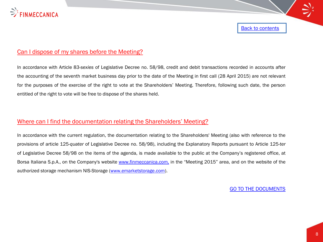

# Can I dispose of my shares before the Meeting?

In accordance with Article 83-*sexies* of Legislative Decree no. 58/98, credit and debit transactions recorded in accounts after the accounting of the seventh market business day prior to the date of the Meeting in first call (28 April 2015) are not relevant for the purposes of the exercise of the right to vote at the Shareholders' Meeting. Therefore, following such date, the person entitled of the right to vote will be free to dispose of the shares held.

## Where can I find the documentation relating the Shareholders' Meeting?

<span id="page-7-0"></span>In accordance with the current regulation, the documentation relating to the Shareholders' Meeting (also with reference to the provisions of article 125-*quater* of Legislative Decree no. 58/98), including the Explanatory Reports pursuant to Article 125-*ter* of Legislative Decree 58/98 on the items of the agenda, is made available to the public at the Company's registered office, at Borsa Italiana S.p.A., on the Company's website [www.finmeccanica.com,](http://www.finmeccanica.com/) in the "Meeting 2015" area, and on the website of the authorized storage mechanism NIS-Storage [\(www.emarketstorage.com](http://www.emarketstorage.com/)).

[GO TO THE DOCUMENTS](http://www.finmeccanica.com/en/governance-finmeccanica-1/assemblea-azionisti/assemblea-2015-meeting)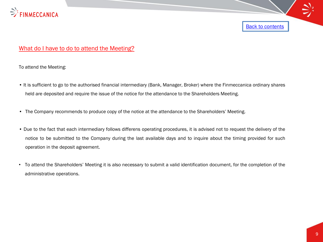

# What do I have to do to attend the Meeting?

To attend the Meeting:

- It is sufficient to go to the authorised financial intermediary (Bank, Manager, Broker) where the Finmeccanica ordinary shares held are deposited and require the issue of the notice for the attendance to the Shareholders Meeting.
- The Company recommends to produce copy of the notice at the attendance to the Shareholders' Meeting.
- Due to the fact that each intermediary follows differens operating procedures, it is advised not to request the delivery of the notice to be submitted to the Company during the last available days and to inquire about the timing provided for such operation in the deposit agreement.
- <span id="page-8-0"></span>• To attend the Shareholders' Meeting it is also necessary to submit a valid identification document, for the completion of the administrative operations.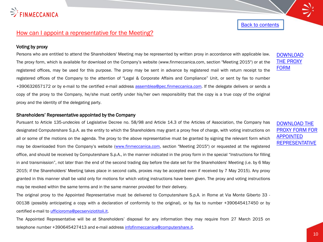

## How can I appoint a representative for the Meeting?

#### Voting by proxy

Persons who are entitled to attend the Shareholders' Meeting may be represented by written proxy in accordance with applicable law. The proxy form, which is available for download on the Company's website (www.finmeccanica.com, section "Meeting 2015") or at the registered offices, may be used for this purpose. The proxy may be sent in advance by registered mail with return receipt to the registered offices of the Company to the attention of "Legal & Corporate Affairs and Compliance" Unit, or sent by fax to number +390632657172 or by e-mail to the certified e-mail address [assemblea@pec.finmeccanica.com](mailto:assemblea@pec.finmeccanica.com). If the delegate delivers or sends a copy of the proxy to the Company, he/she must certify under his/her own responsibility that the copy is a true copy of the original proxy and the identity of the delegating party.

#### Shareholders' Representative appointed by the Company

Pursuant to Article 135-*undecies* of Legislative Decree no. 58/98 and Article 14.3 of the Articles of Association, the Company has designated Computershare S.p.A. as the entity to which the Shareholders may grant a proxy free of charge, with voting instructions on all or some of the motions on the agenda. The proxy to the above representative must be granted by signing the relevant form which may be downloaded from the Company's website [\(www.finmeccanica.com](http://www.finmeccanica.com/), section "Meeting 2015") or requested at the registered office, and should be received by Computershare S.p.A., in the manner indicated in the proxy form in the special "Instructions for filling in and transmission", not later than the end of the second trading day before the date set for the Shareholders' Meeting (i.e. by 6 May 2015; if the Shareholders' Meeting takes place in second calls, proxies may be accepted even if received by 7 May 2015). Any proxy granted in this manner shall be valid only for motions for which voting instructions have been given. The proxy and voting instructions may be revoked within the same terms and in the same manner provided for their delivery.

The original proxy to the Appointed Representative must be delivered to Computershare S.p.A. in Rome at Via Monte Giberto 33 - 00138 (possibly anticipating a copy with a declaration of conformity to the original), or by fax to number +390645417450 or by certified e-mail to [ufficioroma@pecserviziotitoli.it](mailto:ufficioroma@pecserviziotitoli.it).

<span id="page-9-0"></span>The Appointed Representative will be at Shareholders' disposal for any information they may require from 27 March 2015 on telephone number +390645427413 and e-mail address [infofinmeccanica@computershare.it](mailto:infofinmeccanica@computershare.it).

### [DOWNLOAD](http://www.finmeccanica.com/documents/10437/41476884/body_Meeting_2015_Proxy_Form.pdf)  [THE PROXY](http://www.finmeccanica.com/documents/10437/41476884/body_Meeting_2015_Proxy_Form.pdf)  [FORM](http://www.finmeccanica.com/documents/10437/41476884/body_Meeting_2015_Proxy_Form.pdf)

[DOWNLOAD THE](http://www.finmeccanica.com/documents/10437/41476884/body_Meeting_2015_Proxy_Form_Representative.pdf)  [PROXY FORM FOR](http://www.finmeccanica.com/documents/10437/41476884/body_Meeting_2015_Proxy_Form_Representative.pdf)  [APPOINTED](http://www.finmeccanica.com/documents/10437/41476884/body_Meeting_2015_Proxy_Form_Representative.pdf)  **[REPRESENTATIVE](http://www.finmeccanica.com/documents/10437/41476884/body_Meeting_2015_Proxy_Form_Representative.pdf)**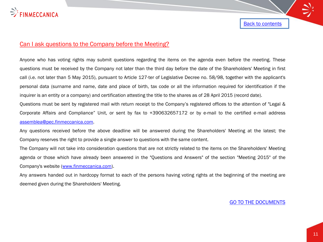

### Can I ask questions to the Company before the Meeting?

Anyone who has voting rights may submit questions regarding the items on the agenda even before the meeting. These questions must be received by the Company not later than the third day before the date of the Shareholders' Meeting in first call (i.e. not later than 5 May 2015), pursuant to Article 127-ter of Legislative Decree no. 58/98, together with the applicant's personal data (surname and name, date and place of birth, tax code or all the information required for identification if the inquirer is an entity or a company) and certification attesting the title to the shares as of 28 April 2015 (record date).

Questions must be sent by registered mail with return receipt to the Company's registered offices to the attention of "Legal & Corporate Affairs and Compliance" Unit, or sent by fax to +390632657172 or by e-mail to the certified e-mail address [assemblea@pec.finmeccanica.com.](mailto:assemblea@pec.finmeccanica.com)

Any questions received before the above deadline will be answered during the Shareholders' Meeting at the latest; the Company reserves the right to provide a single answer to questions with the same content.

The Company will not take into consideration questions that are not strictly related to the items on the Shareholders' Meeting agenda or those which have already been answered in the "Questions and Answers" of the section "Meeting 2015" of the Company's website ([www.finmeccanica.com\)](http://www.finmeccanica.com/).

<span id="page-10-0"></span>Any answers handed out in hardcopy format to each of the persons having voting rights at the beginning of the meeting are deemed given during the Shareholders' Meeting.

[GO TO THE DOCUMENTS](http://www.finmeccanica.com/en/governance-finmeccanica-1/assemblea-azionisti/assemblea-2015-meeting)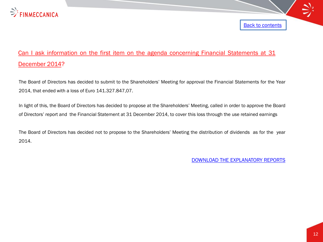

# Can I ask information on the first item on the agenda concerning Financial Statements at 31 December 2014?

The Board of Directors has decided to submit to the Shareholders' Meeting for approval the Financial Statements for the Year 2014, that ended with a loss of Euro 141.327.847,07.

In light of this, the Board of Directors has decided to propose at the Shareholders' Meeting, called in order to approve the Board of Directors' report and the Financial Statement at 31 December 2014, to cover this loss through the use retained earnings

<span id="page-11-0"></span>The Board of Directors has decided not to propose to the Shareholders' Meeting the distribution of dividends as for the year 2014.

[DOWNLOAD THE EXPLANATORY REPORTS](http://www.finmeccanica.com/documents/10437/41476884/body_Meeting_2015Explanatory_Reports.pdf)

**[Back to contents](#page-2-0)**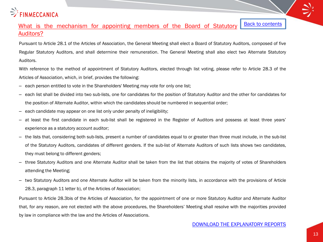

#### What is the mechanism for appointing members of the Board of Statutory Auditors? **[Back to contents](#page-2-0)**

Pursuant to Article 28.1 of the Articles of Association, the General Meeting shall elect a Board of Statutory Auditors, composed of five Regular Statutory Auditors, and shall determine their remuneration. The General Meeting shall also elect two Alternate Statutory Auditors.

With reference to the method of appointment of Statutory Auditors, elected through list voting, please refer to Article 28.3 of the Articles of Association, which, in brief, provides the following:

- each person entitled to vote in the Shareholders' Meeting may vote for only one list;
- each list shall be divided into two sub-lists, one for candidates for the position of Statutory Auditor and the other for candidates for the position of Alternate Auditor, within which the candidates should be numbered in sequential order;
- each candidate may appear on one list only under penalty of ineligibility;
- at least the first candidate in each sub-list shall be registered in the Register of Auditors and possess at least three years' experience as a statutory account auditor;
- the lists that, considering both sub-lists, present a number of candidates equal to or greater than three must include, in the sub-list of the Statutory Auditors, candidates of different genders. If the sub-list of Alternate Auditors of such lists shows two candidates, they must belong to different genders;
- three Statutory Auditors and one Alternate Auditor shall be taken from the list that obtains the majority of votes of Shareholders attending the Meeting;
- two Statutory Auditors and one Alternate Auditor will be taken from the minority lists, in accordance with the provisions of Article 28.3, paragraph 11 letter b), of the Articles of Association;

<span id="page-12-0"></span>Pursuant to Article 28.3bis of the Articles of Association, for the appointment of one or more Statutory Auditor and Alternate Auditor that, for any reason, are not elected with the above procedures, the Shareholders' Meeting shall resolve with the majorities provided by law in compliance with the law and the Articles of Associations.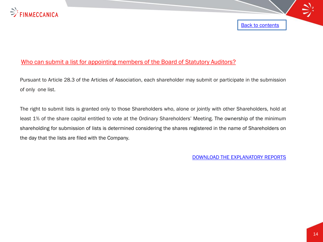

# Who can submit a list for appointing members of the Board of Statutory Auditors?

Pursuant to Article 28.3 of the Articles of Association, each shareholder may submit or participate in the submission of only one list.

<span id="page-13-0"></span>The right to submit lists is granted only to those Shareholders who, alone or jointly with other Shareholders, hold at least 1% of the share capital entitled to vote at the Ordinary Shareholders' Meeting. The ownership of the minimum shareholding for submission of lists is determined considering the shares registered in the name of Shareholders on the day that the lists are filed with the Company.

[DOWNLOAD THE EXPLANATORY REPORTS](http://www.finmeccanica.com/documents/10437/41476884/body_Meeting_2015Explanatory_Reports.pdf)

Back to contents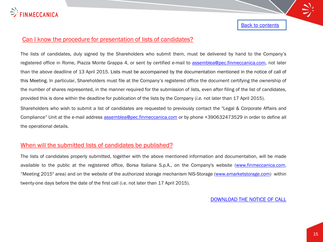

## Can I know the procedure for presentation of lists of candidates?

The lists of candidates, duly signed by the Shareholders who submit them, must be delivered by hand to the Company's registered office in Rome, Piazza Monte Grappa 4, or sent by certified e-mail to [assemblea@pec.finmeccanica.com,](mailto:assemblea@pec.finmeccanica.com) not later than the above deadline of 13 April 2015. Lists must be accompained by the documentation mentioned in the notice of call of this Meeting. In particular, Shareholders must file at the Company's registered office the document certifying the ownership of the number of shares represented, in the manner required for the submission of lists, even after filing of the list of candidates, provided this is done within the deadline for publication of the lists by the Company (*i.e.* not later than 17 April 2015).

Shareholders who wish to submit a list of candidates are requested to previously contact the "Legal & Corporate Affairs and Compliance" Unit at the e-mail address [assemblea@pec.finmeccanica.com](mailto:assemblea@pec.finmeccanica.com) or by phone +390632473529 in order to define all the operational details.

# When will the submitted lists of candidates be published?

<span id="page-14-0"></span>The lists of candidates properly submitted, together with the above mentioned information and documentation, will be made available to the public at the registered office, Borsa Italiana S.p.A., on the Company's website [\(www.finmeccanica.com,](http://www.finmeccanica.com/) "Meeting 2015" area) and on the website of the authorized storage mechanism NIS-Storage ([www.emarketstorage.com\)](http://www.emarketstorage.com/) within twenty-one days before the date of the first call (i.e. not later than 17 April 2015).

[DOWNLOAD THE NOTICE OF CALL](http://www.finmeccanica.com/documents/10437/41476884/body_Meeting_2015_Notice_of_call.pdf)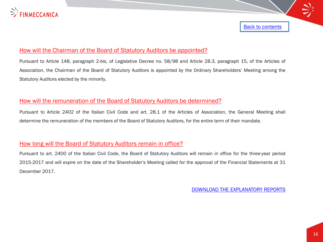

## How will the Chairman of the Board of Statutory Auditors be appointed?

Pursuant to Article 148, paragraph 2-*bis*, of Legislative Decree no. 58/98 and Article 28.3, paragraph 15, of the Articles of Association, the Chairman of the Board of Statutory Auditors is appointed by the Ordinary Shareholders' Meeting among the Statutory Auditors elected by the minority.

### How will the remuneration of the Board of Statutory Auditors be determined?

Pursuant to Article 2402 of the Italian Civil Code and art. 28.1 of the Articles of Association, the General Meeting shall determine the remuneration of the members of the Board of Statutory Auditors, for the entire term of their mandate.

### How long will the Board of Statutory Auditors remain in office?

<span id="page-15-0"></span>Pursuant to art. 2400 of the Italian Civil Code, the Board of Statutory Auditors will remain in office for the three-year period 2015-2017 and will expire on the date of the Shareholder's Meeting called for the approval of the Financial Statements at 31 December 2017.

[DOWNLOAD THE EXPLANATORY REPORTS](http://www.finmeccanica.com/documents/10437/41476884/body_Meeting_2015Explanatory_Reports.pdf)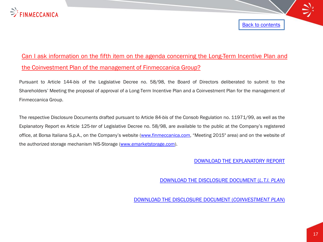

# Can I ask information on the fifth item on the agenda concerning the Long-Term Incentive Plan and the Coinvestment Plan of the management of Finmeccanica Group?

Pursuant to Article 144-*bis* of the Legislative Decree no. 58/98, the Board of Directors deliberated to submit to the Shareholders' Meeting the proposal of approval of a Long-Term Incentive Plan and a Coinvestment Plan for the management of Finmeccanica Group.

<span id="page-16-0"></span>The respective Disclosure Documents drafted pursuant to Article 84-*bis* of the Consob Regulation no. 11971/99, as well as the Explanatory Report ex Article 125-*ter* of Legislative Decree no. 58/98, are available to the public at the Company's registered office, at Borsa Italiana S.p.A., on the Company's website [\(www.finmeccanica.com,](http://www.finmeccanica.com/) "Meeting 2015" area) and on the website of the authorized storage mechanism NIS-Storage [\(www.emarketstorage.com\)](http://www.emarketstorage.com/).

### [DOWNLOAD THE EXPLANATORY REPORT](http://www.finmeccanica.com/documents/10437/41476884/body_Meeting_2015Explanatory_Reports.pdf)

**[Back to contents](#page-2-0)** 

[DOWNLOAD THE DISCLOSURE DOCUMENT \(](http://www.finmeccanica.com/documents/10437/41476884/body_Disclosure_Document_Long_Term_Incentive_Plan.pdf)*[L.T.I. PLAN](http://www.finmeccanica.com/documents/10437/41476884/body_Disclosure_Document_Long_Term_Incentive_Plan.pdf)*[\)](http://www.finmeccanica.com/documents/10437/41476884/body_Disclosure_Document_Long_Term_Incentive_Plan.pdf)

[DOWNLOAD THE DISCLOSURE DOCUMENT \(](http://www.finmeccanica.com/documents/10437/41476884/body_Disclosure_Document_Co_investment_Plan.pdf)*[COINVESTMENT PLAN](http://www.finmeccanica.com/documents/10437/41476884/body_Disclosure_Document_Co_investment_Plan.pdf)*[\)](http://www.finmeccanica.com/documents/10437/41476884/body_Disclosure_Document_Co_investment_Plan.pdf)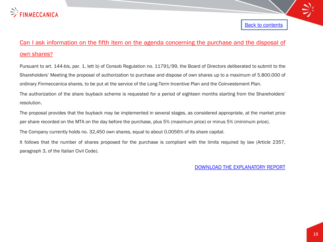

# Can I ask information on the fifth item on the agenda concerning the purchase and the disposal of own shares?

Pursuant to art. 144-*bis*, par. 1, lett b) of Consob Regulation no. 11791/99, the Board of Directors deliberated to submit to the Shareholders' Meeting the proposal of authorization to purchase and dispose of own shares up to a maximum of 5.800.000 of ordinary Finmeccanica shares, to be put at the service of the Long-Term Incentive Plan and the Coinvestement Plan.

The authorization of the share buyback scheme is requested for a period of eighteen months starting from the Shareholders' resolution.

The proposal provides that the buyback may be implemented in several stages, as considered appropriate, at the market price per share recorded on the MTA on the day before the purchase, plus 5% (maximum price) or minus 5% (minimum price).

The Company currently holds no. 32,450 own shares, equal to about 0.0056% of its share capital.

<span id="page-17-0"></span>It follows that the number of shares proposed for the purchase is compliant with the limits required by law (Article 2357, paragraph 3, of the Italian Civil Code).

[DOWNLOAD THE EXPLANATORY REPORT](http://www.finmeccanica.com/documents/10437/41476884/body_Meeting_2015Explanatory_Reports.pdf)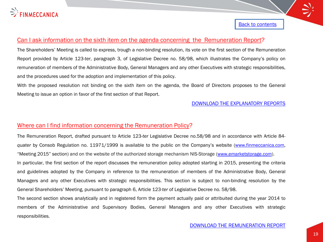

# Can I ask information on the sixth item on the agenda concerning the Remuneration Report?

The Shareholders' Meeting is called to express, trough a non-binding resolution, its vote on the first section of the Remuneration Report provided by Article 123-*ter*, paragraph 3, of Legislative Decree no. 58/98, which illustrates the Company's policy on remuneration of members of the Administrative Body, General Managers and any other Executives with strategic responsibilities, and the procedures used for the adoption and implementation of this policy.

With the proposed resolution not binding on the sixth item on the agenda, the Board of Directors proposes to the General Meeting to issue an option in favor of the first section of that Report.

### [DOWNLOAD THE EXPLANATORY REPORTS](http://www.finmeccanica.com/documents/10437/41476884/body_Meeting_2015Explanatory_Reports.pdf)

### Where can I find information concerning the Remuneration Policy?

The Remuneration Report, drafted pursuant to Article 123-*ter* Legislative Decree no.58/98 and in accordance with Article 84 *quater* by Consob Regulation no. 11971/1999 is available to the public on the Company's website [\(www.finmeccanica.com,](http://www.finmeccanica.com/) "Meeting 2015" section) and on the website of the authorized storage mechanism NIS-Storage ([www.emarketstorage.com\)](http://www.emarketstorage.com/). In particular, the first section of the report discusses the remuneration policy adopted starting in 2015, presenting the criteria and guidelines adopted by the Company in reference to the remuneration of members of the Administrative Body, General Managers and any other Executives with strategic responsibilities. This section is subject to non-binding resolution by the General Shareholders' Meeting, pursuant to paragraph 6, Article 123*-ter* of Legislative Decree no. 58/98.

<span id="page-18-0"></span>The second section shows analytically and in registered form the payment actually paid or attribuited during the year 2014 to members of the Administrative and Supervisory Bodies, General Managers and any other Executives with strategic responsibilities.